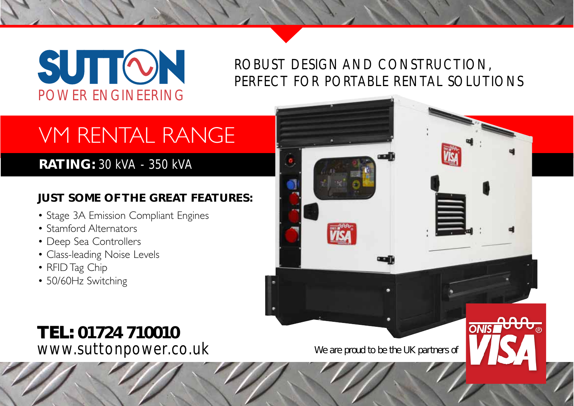# **SUTTON** POWER ENGINEERING

## ROBUST DESIGN AND CONSTRUCTION, PERFECT FOR PORTABLE RENTAL SOLUTIONS

## VM RENTAL RANGE

## **RATING:** 30 kVA - 350 kVA

## **JUST SOME OF THE GREAT FEATURES:**

- Stage 3A Emission Compliant Engines
- Stamford Alternators
- Deep Sea Controllers
- Class-leading Noise Levels
- RFID Tag Chip
- 50/60Hz Switching



**ONIST**